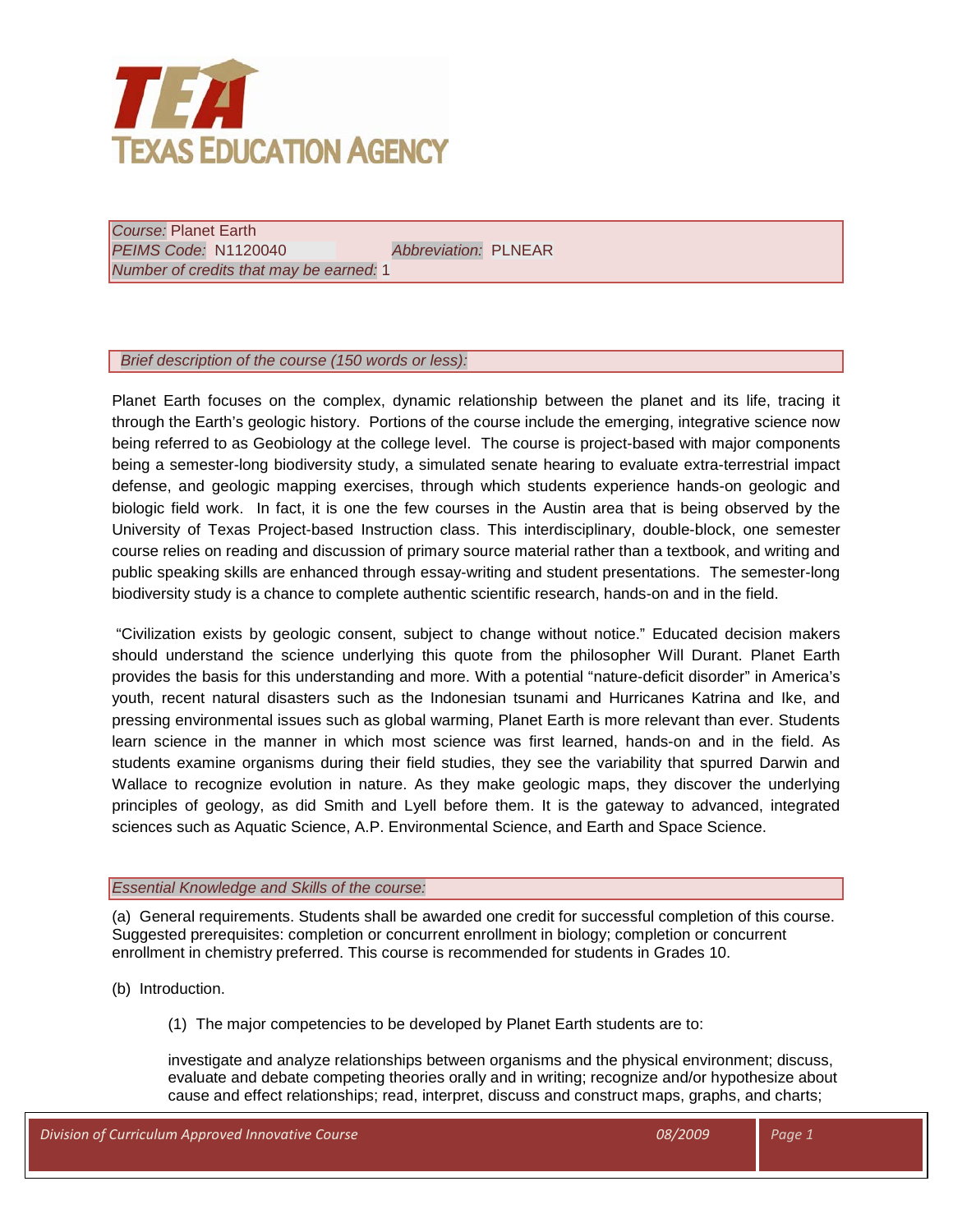

*Course:* Planet Earth *PEIMS Code:* N1120040 *Abbreviation:* PLNEAR *Number of credits that may be earned:* 1

## *Brief description of the course (150 words or less):*

Planet Earth focuses on the complex, dynamic relationship between the planet and its life, tracing it through the Earth's geologic history. Portions of the course include the emerging, integrative science now being referred to as Geobiology at the college level. The course is project-based with major components being a semester-long biodiversity study, a simulated senate hearing to evaluate extra-terrestrial impact defense, and geologic mapping exercises, through which students experience hands-on geologic and biologic field work. In fact, it is one the few courses in the Austin area that is being observed by the University of Texas Project-based Instruction class. This interdisciplinary, double-block, one semester course relies on reading and discussion of primary source material rather than a textbook, and writing and public speaking skills are enhanced through essay-writing and student presentations. The semester-long biodiversity study is a chance to complete authentic scientific research, hands-on and in the field.

"Civilization exists by geologic consent, subject to change without notice." Educated decision makers should understand the science underlying this quote from the philosopher Will Durant. Planet Earth provides the basis for this understanding and more. With a potential "nature-deficit disorder" in America's youth, recent natural disasters such as the Indonesian tsunami and Hurricanes Katrina and Ike, and pressing environmental issues such as global warming, Planet Earth is more relevant than ever. Students learn science in the manner in which most science was first learned, hands-on and in the field. As students examine organisms during their field studies, they see the variability that spurred Darwin and Wallace to recognize evolution in nature. As they make geologic maps, they discover the underlying principles of geology, as did Smith and Lyell before them. It is the gateway to advanced, integrated sciences such as Aquatic Science, A.P. Environmental Science, and Earth and Space Science.

## *Essential Knowledge and Skills of the course:*

(a) General requirements. Students shall be awarded one credit for successful completion of this course. Suggested prerequisites: completion or concurrent enrollment in biology; completion or concurrent enrollment in chemistry preferred. This course is recommended for students in Grades 10.

(b) Introduction.

(1) The major competencies to be developed by Planet Earth students are to:

investigate and analyze relationships between organisms and the physical environment; discuss, evaluate and debate competing theories orally and in writing; recognize and/or hypothesize about cause and effect relationships; read, interpret, discuss and construct maps, graphs, and charts;

| Division of Curriculum Approved Innovative Course | 08/2009 | Page 1 |
|---------------------------------------------------|---------|--------|
|                                                   |         |        |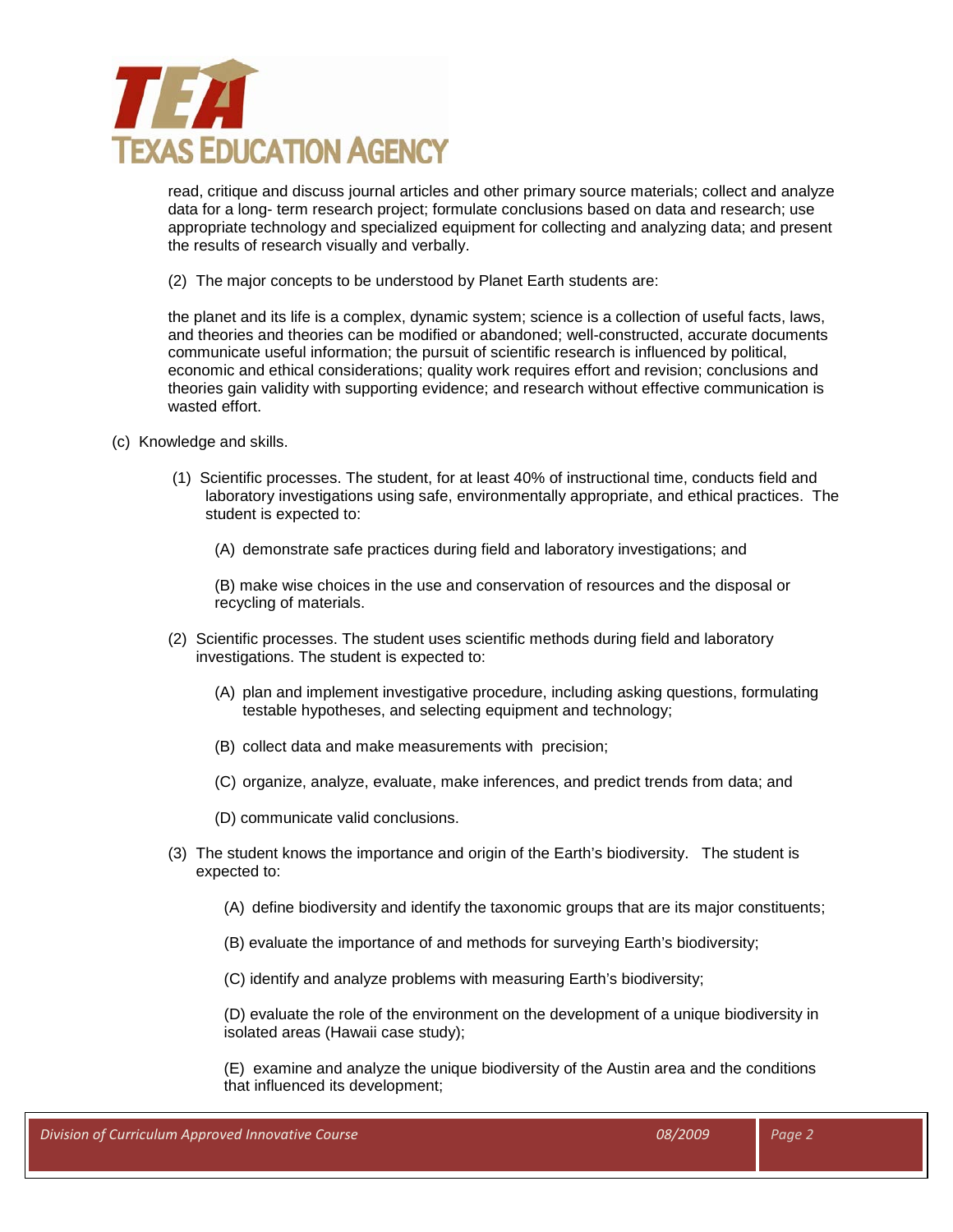

read, critique and discuss journal articles and other primary source materials; collect and analyze data for a long- term research project; formulate conclusions based on data and research; use appropriate technology and specialized equipment for collecting and analyzing data; and present the results of research visually and verbally.

(2) The major concepts to be understood by Planet Earth students are:

the planet and its life is a complex, dynamic system; science is a collection of useful facts, laws, and theories and theories can be modified or abandoned; well-constructed, accurate documents communicate useful information; the pursuit of scientific research is influenced by political, economic and ethical considerations; quality work requires effort and revision; conclusions and theories gain validity with supporting evidence; and research without effective communication is wasted effort.

- (c) Knowledge and skills.
	- (1) Scientific processes. The student, for at least 40% of instructional time, conducts field and laboratory investigations using safe, environmentally appropriate, and ethical practices. The student is expected to:
		- (A) demonstrate safe practices during field and laboratory investigations; and

(B) make wise choices in the use and conservation of resources and the disposal or recycling of materials.

- (2) Scientific processes. The student uses scientific methods during field and laboratory investigations. The student is expected to:
	- (A) plan and implement investigative procedure, including asking questions, formulating testable hypotheses, and selecting equipment and technology;
	- (B) collect data and make measurements with precision;
	- (C) organize, analyze, evaluate, make inferences, and predict trends from data; and
	- (D) communicate valid conclusions.
- (3) The student knows the importance and origin of the Earth's biodiversity. The student is expected to:
	- (A) define biodiversity and identify the taxonomic groups that are its major constituents;
	- (B) evaluate the importance of and methods for surveying Earth's biodiversity;

(C) identify and analyze problems with measuring Earth's biodiversity;

(D) evaluate the role of the environment on the development of a unique biodiversity in isolated areas (Hawaii case study);

(E) examine and analyze the unique biodiversity of the Austin area and the conditions that influenced its development;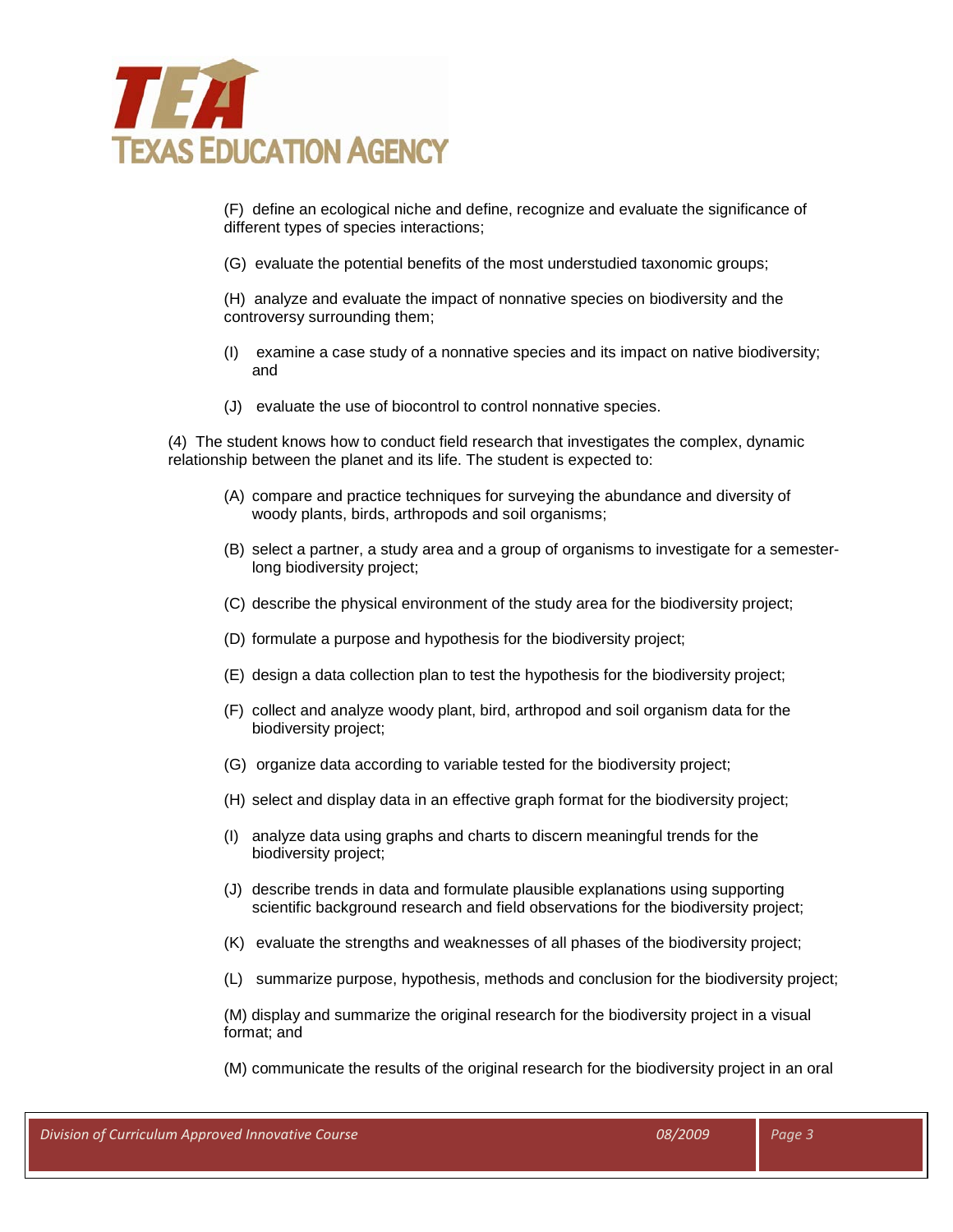

(F) define an ecological niche and define, recognize and evaluate the significance of different types of species interactions;

(G) evaluate the potential benefits of the most understudied taxonomic groups;

(H) analyze and evaluate the impact of nonnative species on biodiversity and the controversy surrounding them;

- (I) examine a case study of a nonnative species and its impact on native biodiversity; and
- (J) evaluate the use of biocontrol to control nonnative species.

(4) The student knows how to conduct field research that investigates the complex, dynamic relationship between the planet and its life. The student is expected to:

- (A) compare and practice techniques for surveying the abundance and diversity of woody plants, birds, arthropods and soil organisms;
- (B) select a partner, a study area and a group of organisms to investigate for a semesterlong biodiversity project;
- (C) describe the physical environment of the study area for the biodiversity project;
- (D) formulate a purpose and hypothesis for the biodiversity project;
- (E) design a data collection plan to test the hypothesis for the biodiversity project;
- (F) collect and analyze woody plant, bird, arthropod and soil organism data for the biodiversity project;
- (G) organize data according to variable tested for the biodiversity project;
- (H) select and display data in an effective graph format for the biodiversity project;
- (I) analyze data using graphs and charts to discern meaningful trends for the biodiversity project;
- (J) describe trends in data and formulate plausible explanations using supporting scientific background research and field observations for the biodiversity project;
- (K) evaluate the strengths and weaknesses of all phases of the biodiversity project;
- (L) summarize purpose, hypothesis, methods and conclusion for the biodiversity project;

(M) display and summarize the original research for the biodiversity project in a visual format; and

(M) communicate the results of the original research for the biodiversity project in an oral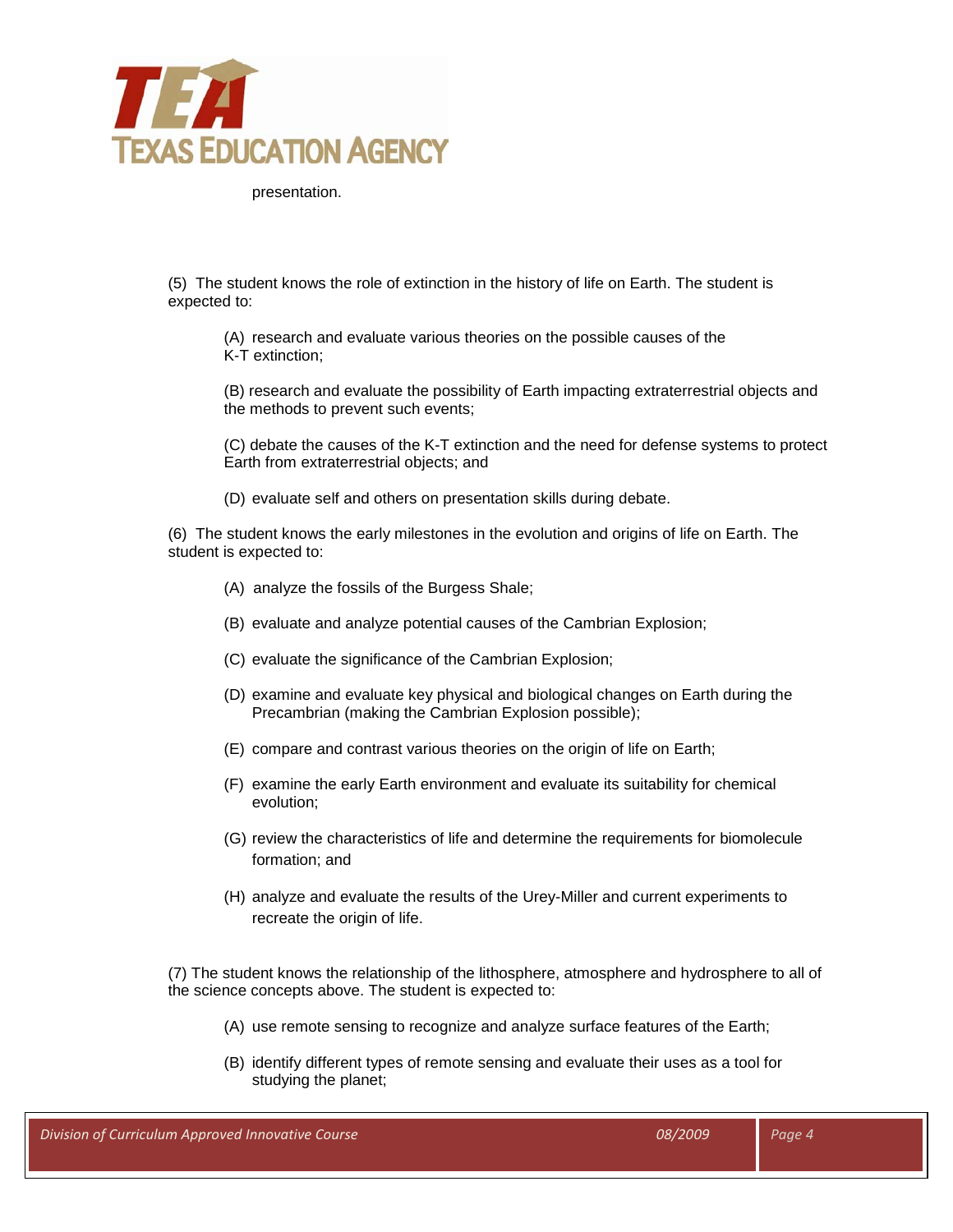

presentation.

(5) The student knows the role of extinction in the history of life on Earth. The student is expected to:

(A) research and evaluate various theories on the possible causes of the K-T extinction;

(B) research and evaluate the possibility of Earth impacting extraterrestrial objects and the methods to prevent such events;

(C) debate the causes of the K-T extinction and the need for defense systems to protect Earth from extraterrestrial objects; and

(D) evaluate self and others on presentation skills during debate.

(6) The student knows the early milestones in the evolution and origins of life on Earth. The student is expected to:

- (A) analyze the fossils of the Burgess Shale;
- (B) evaluate and analyze potential causes of the Cambrian Explosion;
- (C) evaluate the significance of the Cambrian Explosion;
- (D) examine and evaluate key physical and biological changes on Earth during the Precambrian (making the Cambrian Explosion possible);
- (E) compare and contrast various theories on the origin of life on Earth;
- (F) examine the early Earth environment and evaluate its suitability for chemical evolution;
- (G) review the characteristics of life and determine the requirements for biomolecule formation; and
- (H) analyze and evaluate the results of the Urey-Miller and current experiments to recreate the origin of life.

(7) The student knows the relationship of the lithosphere, atmosphere and hydrosphere to all of the science concepts above. The student is expected to:

- (A) use remote sensing to recognize and analyze surface features of the Earth;
- (B) identify different types of remote sensing and evaluate their uses as a tool for studying the planet;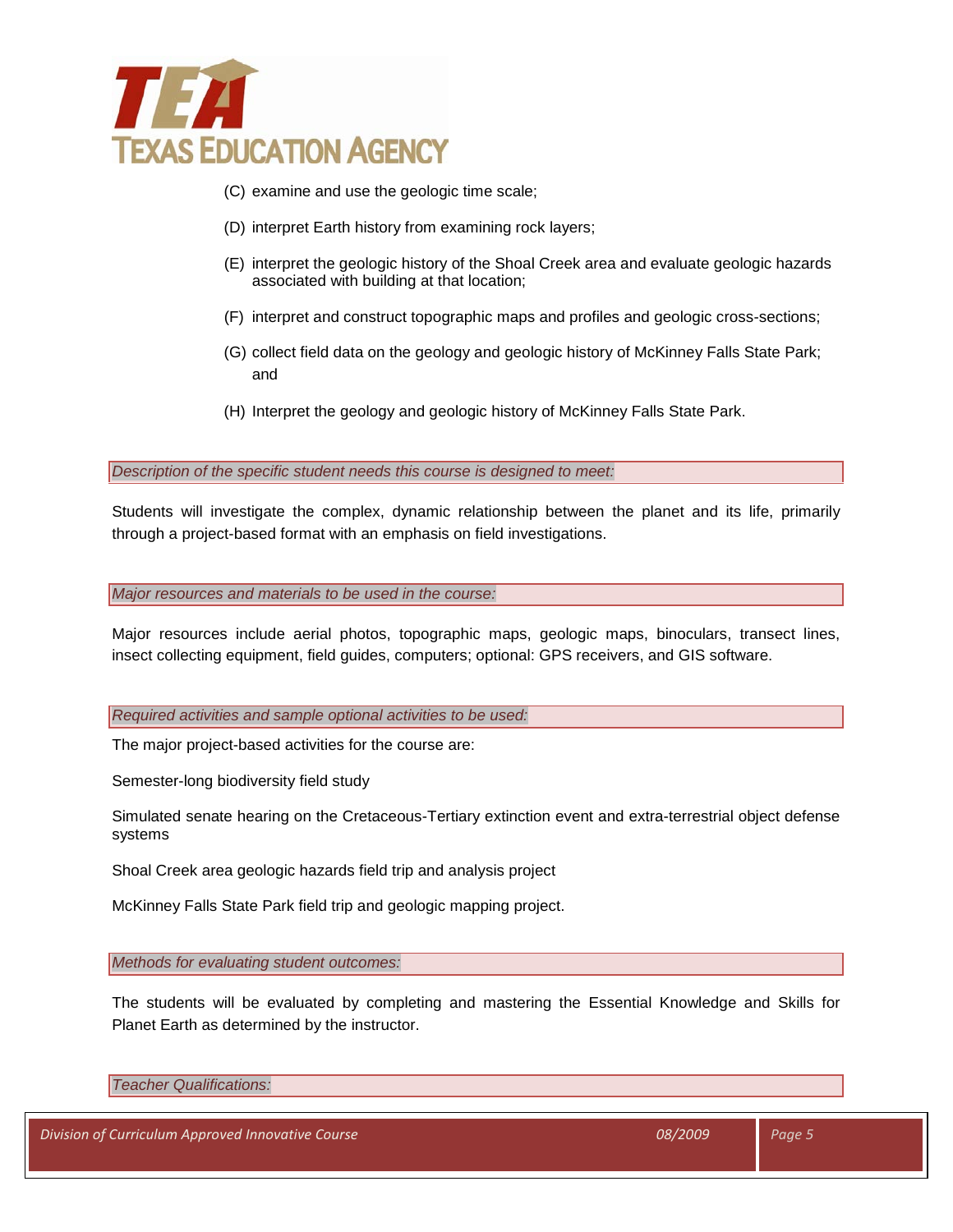

- (C) examine and use the geologic time scale;
- (D) interpret Earth history from examining rock layers;
- (E) interpret the geologic history of the Shoal Creek area and evaluate geologic hazards associated with building at that location;
- (F) interpret and construct topographic maps and profiles and geologic cross-sections;
- (G) collect field data on the geology and geologic history of McKinney Falls State Park; and
- (H) Interpret the geology and geologic history of McKinney Falls State Park.

*Description of the specific student needs this course is designed to meet:*

Students will investigate the complex, dynamic relationship between the planet and its life, primarily through a project-based format with an emphasis on field investigations.

*Major resources and materials to be used in the course:*

Major resources include aerial photos, topographic maps, geologic maps, binoculars, transect lines, insect collecting equipment, field guides, computers; optional: GPS receivers, and GIS software.

*Required activities and sample optional activities to be used:*

The major project-based activities for the course are:

Semester-long biodiversity field study

Simulated senate hearing on the Cretaceous-Tertiary extinction event and extra-terrestrial object defense systems

Shoal Creek area geologic hazards field trip and analysis project

McKinney Falls State Park field trip and geologic mapping project.

*Methods for evaluating student outcomes:*

The students will be evaluated by completing and mastering the Essential Knowledge and Skills for Planet Earth as determined by the instructor.

*Teacher Qualifications:*